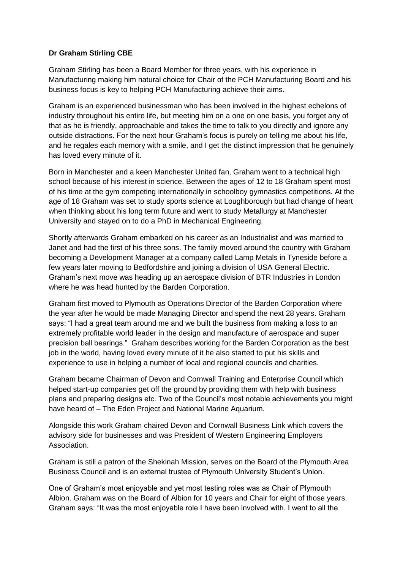## **Dr Graham Stirling CBE**

Graham Stirling has been a Board Member for three years, with his experience in Manufacturing making him natural choice for Chair of the PCH Manufacturing Board and his business focus is key to helping PCH Manufacturing achieve their aims.

Graham is an experienced businessman who has been involved in the highest echelons of industry throughout his entire life, but meeting him on a one on one basis, you forget any of that as he is friendly, approachable and takes the time to talk to you directly and ignore any outside distractions. For the next hour Graham's focus is purely on telling me about his life, and he regales each memory with a smile, and I get the distinct impression that he genuinely has loved every minute of it.

Born in Manchester and a keen Manchester United fan, Graham went to a technical high school because of his interest in science. Between the ages of 12 to 18 Graham spent most of his time at the gym competing internationally in schoolboy gymnastics competitions. At the age of 18 Graham was set to study sports science at Loughborough but had change of heart when thinking about his long term future and went to study Metallurgy at Manchester University and stayed on to do a PhD in Mechanical Engineering.

Shortly afterwards Graham embarked on his career as an Industrialist and was married to Janet and had the first of his three sons. The family moved around the country with Graham becoming a Development Manager at a company called Lamp Metals in Tyneside before a few years later moving to Bedfordshire and joining a division of USA General Electric. Graham's next move was heading up an aerospace division of BTR Industries in London where he was head hunted by the Barden Corporation.

Graham first moved to Plymouth as Operations Director of the Barden Corporation where the year after he would be made Managing Director and spend the next 28 years. Graham says: "I had a great team around me and we built the business from making a loss to an extremely profitable world leader in the design and manufacture of aerospace and super precision ball bearings." Graham describes working for the Barden Corporation as the best job in the world, having loved every minute of it he also started to put his skills and experience to use in helping a number of local and regional councils and charities.

Graham became Chairman of Devon and Cornwall Training and Enterprise Council which helped start-up companies get off the ground by providing them with help with business plans and preparing designs etc. Two of the Council's most notable achievements you might have heard of – The Eden Project and National Marine Aquarium.

Alongside this work Graham chaired Devon and Cornwall Business Link which covers the advisory side for businesses and was President of Western Engineering Employers Association.

Graham is still a patron of the Shekinah Mission, serves on the Board of the Plymouth Area Business Council and is an external trustee of Plymouth University Student's Union.

One of Graham's most enjoyable and yet most testing roles was as Chair of Plymouth Albion. Graham was on the Board of Albion for 10 years and Chair for eight of those years. Graham says: "It was the most enjoyable role I have been involved with. I went to all the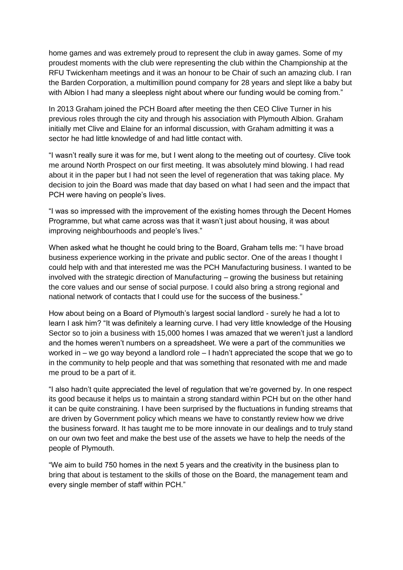home games and was extremely proud to represent the club in away games. Some of my proudest moments with the club were representing the club within the Championship at the RFU Twickenham meetings and it was an honour to be Chair of such an amazing club. I ran the Barden Corporation, a multimillion pound company for 28 years and slept like a baby but with Albion I had many a sleepless night about where our funding would be coming from."

In 2013 Graham joined the PCH Board after meeting the then CEO Clive Turner in his previous roles through the city and through his association with Plymouth Albion. Graham initially met Clive and Elaine for an informal discussion, with Graham admitting it was a sector he had little knowledge of and had little contact with.

"I wasn't really sure it was for me, but I went along to the meeting out of courtesy. Clive took me around North Prospect on our first meeting. It was absolutely mind blowing. I had read about it in the paper but I had not seen the level of regeneration that was taking place. My decision to join the Board was made that day based on what I had seen and the impact that PCH were having on people's lives.

"I was so impressed with the improvement of the existing homes through the Decent Homes Programme, but what came across was that it wasn't just about housing, it was about improving neighbourhoods and people's lives."

When asked what he thought he could bring to the Board, Graham tells me: "I have broad business experience working in the private and public sector. One of the areas I thought I could help with and that interested me was the PCH Manufacturing business. I wanted to be involved with the strategic direction of Manufacturing – growing the business but retaining the core values and our sense of social purpose. I could also bring a strong regional and national network of contacts that I could use for the success of the business."

How about being on a Board of Plymouth's largest social landlord - surely he had a lot to learn I ask him? "It was definitely a learning curve. I had very little knowledge of the Housing Sector so to join a business with 15,000 homes I was amazed that we weren't just a landlord and the homes weren't numbers on a spreadsheet. We were a part of the communities we worked in – we go way beyond a landlord role – I hadn't appreciated the scope that we go to in the community to help people and that was something that resonated with me and made me proud to be a part of it.

"I also hadn't quite appreciated the level of regulation that we're governed by. In one respect its good because it helps us to maintain a strong standard within PCH but on the other hand it can be quite constraining. I have been surprised by the fluctuations in funding streams that are driven by Government policy which means we have to constantly review how we drive the business forward. It has taught me to be more innovate in our dealings and to truly stand on our own two feet and make the best use of the assets we have to help the needs of the people of Plymouth.

"We aim to build 750 homes in the next 5 years and the creativity in the business plan to bring that about is testament to the skills of those on the Board, the management team and every single member of staff within PCH."